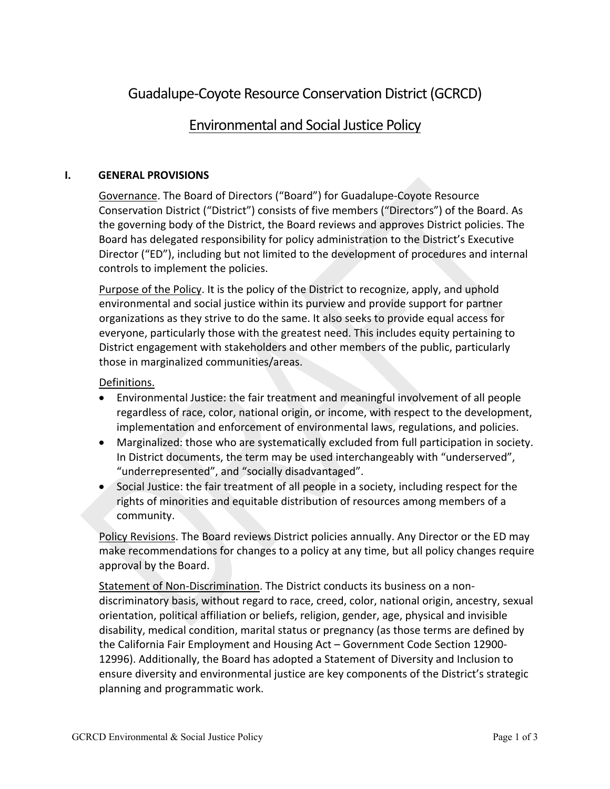# Guadalupe-Coyote Resource Conservation District (GCRCD)

## Environmental and Social Justice Policy

## **I. GENERAL PROVISIONS**

Governance. The Board of Directors ("Board") for Guadalupe-Coyote Resource Conservation District ("District") consists of five members ("Directors") of the Board. As the governing body of the District, the Board reviews and approves District policies. The Board has delegated responsibility for policy administration to the District's Executive Director ("ED"), including but not limited to the development of procedures and internal controls to implement the policies.

Purpose of the Policy. It is the policy of the District to recognize, apply, and uphold environmental and social justice within its purview and provide support for partner organizations as they strive to do the same. It also seeks to provide equal access for everyone, particularly those with the greatest need. This includes equity pertaining to District engagement with stakeholders and other members of the public, particularly those in marginalized communities/areas.

#### Definitions.

- Environmental Justice: the fair treatment and meaningful involvement of all people regardless of race, color, national origin, or income, with respect to the development, implementation and enforcement of environmental laws, regulations, and policies.
- Marginalized: those who are systematically excluded from full participation in society. In District documents, the term may be used interchangeably with "underserved", "underrepresented", and "socially disadvantaged".
- Social Justice: the fair treatment of all people in a society, including respect for the rights of minorities and equitable distribution of resources among members of a community.

Policy Revisions. The Board reviews District policies annually. Any Director or the ED may make recommendations for changes to a policy at any time, but all policy changes require approval by the Board.

Statement of Non-Discrimination. The District conducts its business on a nondiscriminatory basis, without regard to race, creed, color, national origin, ancestry, sexual orientation, political affiliation or beliefs, religion, gender, age, physical and invisible disability, medical condition, marital status or pregnancy (as those terms are defined by the California Fair Employment and Housing Act – Government Code Section 12900- 12996). Additionally, the Board has adopted a Statement of Diversity and Inclusion to ensure diversity and environmental justice are key components of the District's strategic planning and programmatic work.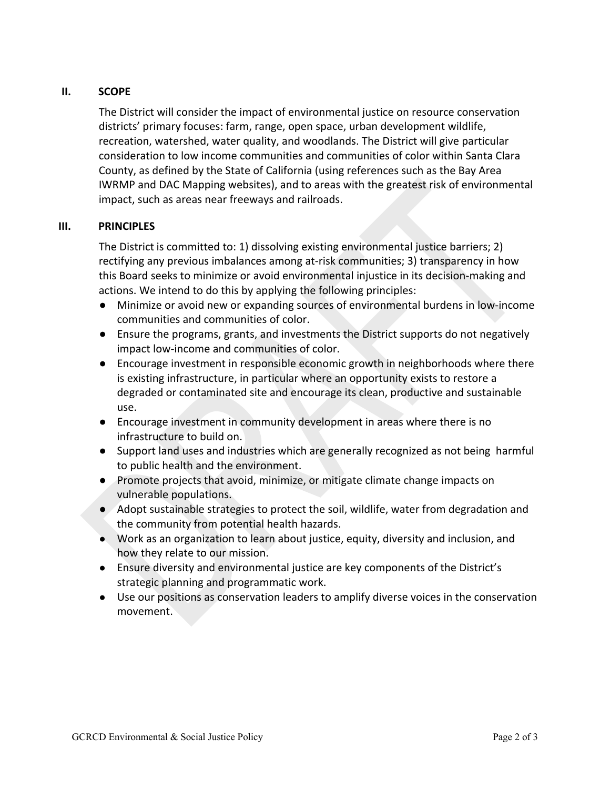## **II. SCOPE**

The District will consider the impact of environmental justice on resource conservation districts' primary focuses: farm, range, open space, urban development wildlife, recreation, watershed, water quality, and woodlands. The District will give particular consideration to low income communities and communities of color within Santa Clara County, as defined by the State of California (using references such as the Bay Area IWRMP and DAC Mapping websites), and to areas with the greatest risk of environmental impact, such as areas near freeways and railroads.

#### **III. PRINCIPLES**

The District is committed to: 1) dissolving existing environmental justice barriers; 2) rectifying any previous imbalances among at-risk communities; 3) transparency in how this Board seeks to minimize or avoid environmental injustice in its decision-making and actions. We intend to do this by applying the following principles:

- Minimize or avoid new or expanding sources of environmental burdens in low-income communities and communities of color.
- Ensure the programs, grants, and investments the District supports do not negatively impact low-income and communities of color.
- Encourage investment in responsible economic growth in neighborhoods where there is existing infrastructure, in particular where an opportunity exists to restore a degraded or contaminated site and encourage its clean, productive and sustainable use.
- Encourage investment in community development in areas where there is no infrastructure to build on.
- Support land uses and industries which are generally recognized as not being harmful to public health and the environment.
- Promote projects that avoid, minimize, or mitigate climate change impacts on vulnerable populations.
- Adopt sustainable strategies to protect the soil, wildlife, water from degradation and the community from potential health hazards.
- Work as an organization to learn about justice, equity, diversity and inclusion, and how they relate to our mission.
- Ensure diversity and environmental justice are key components of the District's strategic planning and programmatic work.
- Use our positions as conservation leaders to amplify diverse voices in the conservation movement.